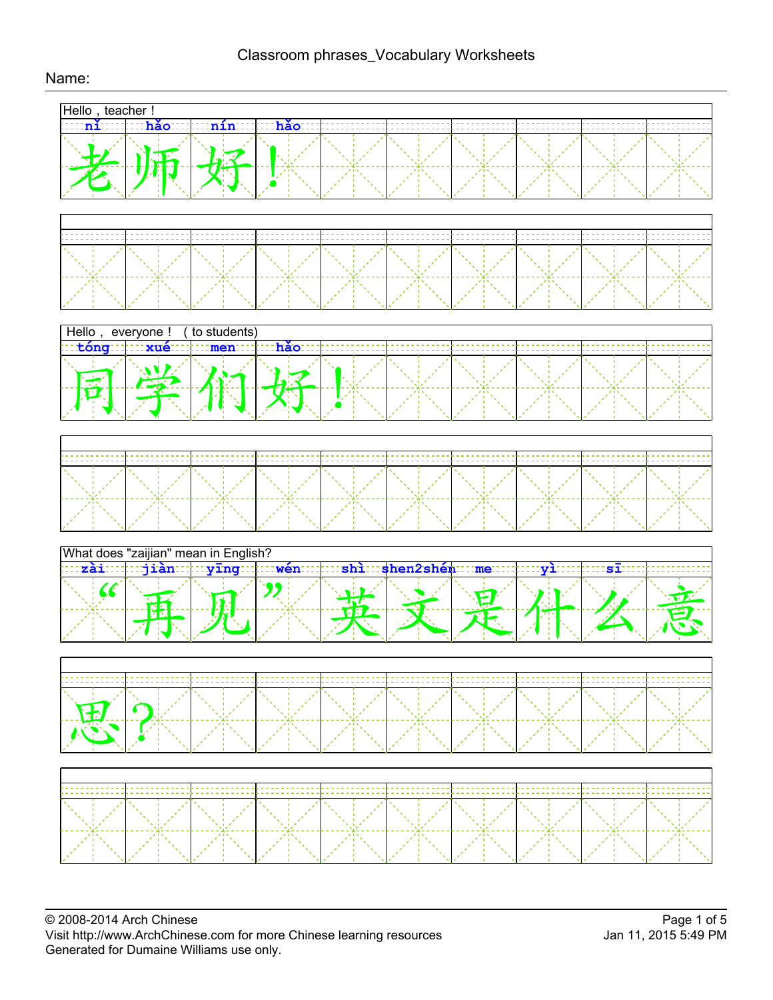

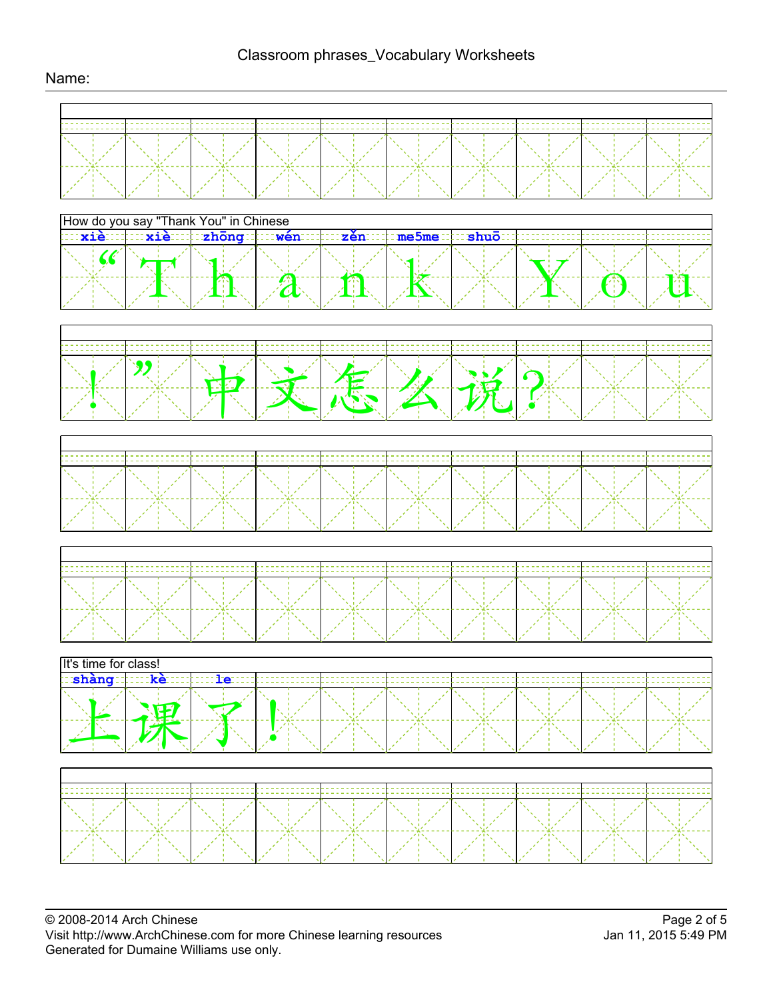## Name:

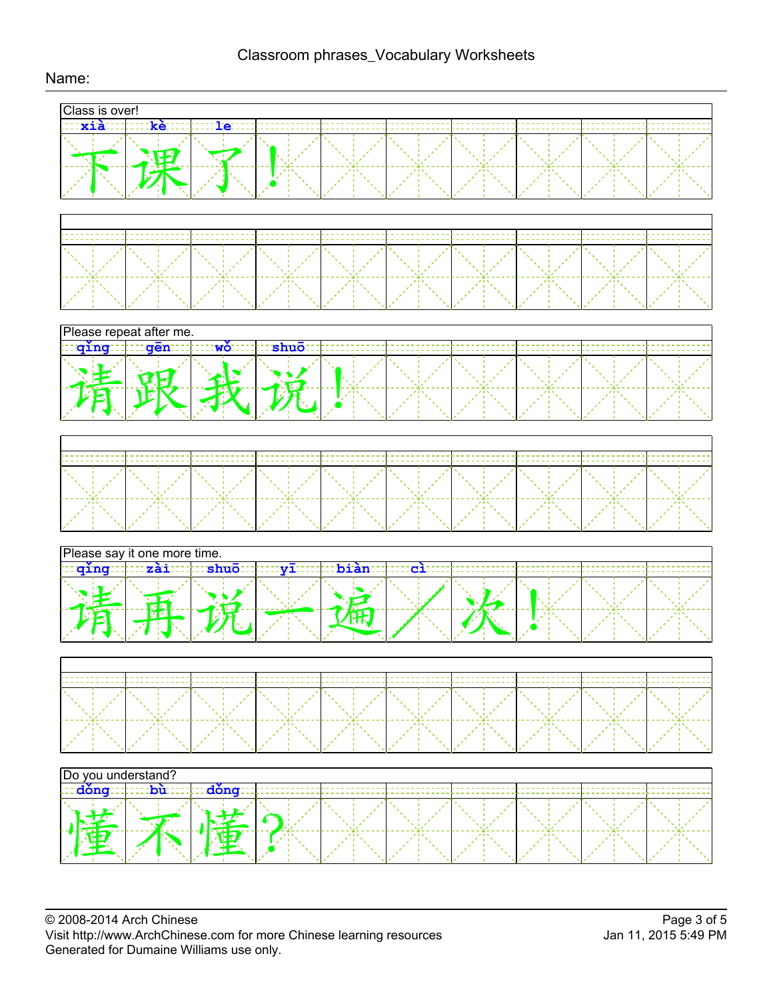

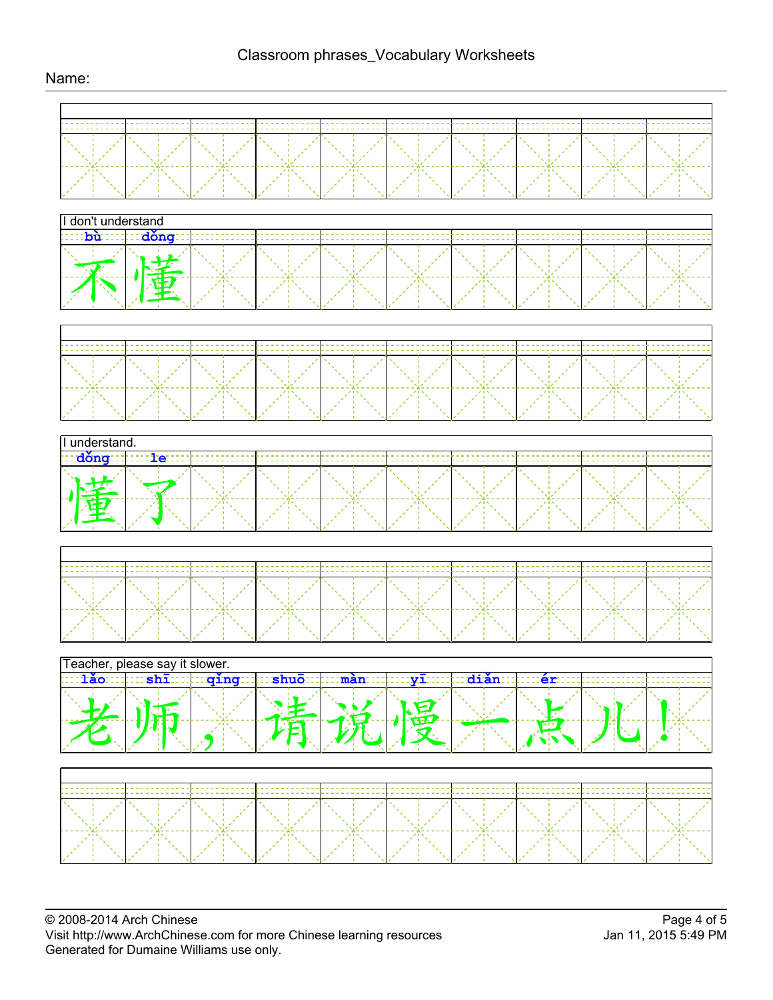## Name: